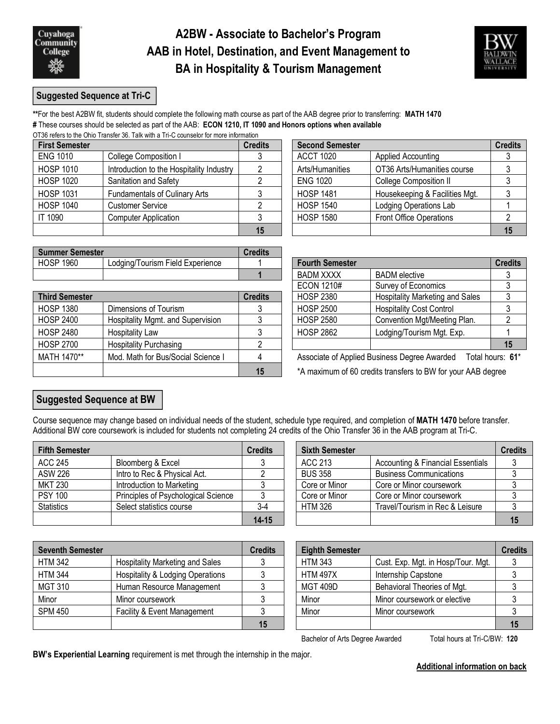## **A2BW - Associate to Bachelor's Program AAB in Hotel, Destination, and Event Management to BA in Hospitality & Tourism Management**



#### **Suggested Sequence at Tri-C**

**\*\***For the best A2BW fit, students should complete the following math course as part of the AAB degree prior to transferring: **MATH 1470 #** These courses should be selected as part of the AAB: **ECON 1210, IT 1090 and Honors options when available** OT36 refers to the Ohio Transfer 36. Talk with a Tri-C counselor for more information

| <b>First Semester</b> |                                          | <b>Credits</b><br><b>Second Semester</b> |                  |                                | <b>Credits</b> |  |
|-----------------------|------------------------------------------|------------------------------------------|------------------|--------------------------------|----------------|--|
| <b>ENG 1010</b>       | College Composition I                    |                                          | <b>ACCT 1020</b> | Applied Accounting             |                |  |
| <b>HOSP 1010</b>      | Introduction to the Hospitality Industry |                                          | Arts/Humanities  | OT36 Arts/Humanities course    |                |  |
| <b>HOSP 1020</b>      | Sanitation and Safety                    |                                          | <b>ENG 1020</b>  | <b>College Composition II</b>  |                |  |
| <b>HOSP 1031</b>      | <b>Fundamentals of Culinary Arts</b>     |                                          | <b>HOSP 1481</b> | Housekeeping & Facilities Mgt. |                |  |
| <b>HOSP 1040</b>      | <b>Customer Service</b>                  |                                          | <b>HOSP 1540</b> | Lodging Operations Lab         |                |  |
| IT 1090               | <b>Computer Application</b>              |                                          | <b>HOSP 1580</b> | Front Office Operations        |                |  |
|                       |                                          | 15                                       |                  |                                |                |  |

| <b>Summer Semester</b> |                                                 | <b>Credits</b> |                  |                      |         |
|------------------------|-------------------------------------------------|----------------|------------------|----------------------|---------|
| <b>HOSP 1960</b>       | Field E<br><b>Lodaina/Tourism</b><br>Experience |                | Fourth Semester  |                      | Credits |
|                        |                                                 |                | <b>BADM XXXX</b> | <b>BADM</b> elective |         |

|                       |                                    |                  | LUUIN IZIU#                            | <b>OUTVEY OF LUUTION ING</b>                                                    |    |
|-----------------------|------------------------------------|------------------|----------------------------------------|---------------------------------------------------------------------------------|----|
| <b>Third Semester</b> | <b>Credits</b>                     | <b>HOSP 2380</b> | <b>Hospitality Marketing and Sales</b> | 2                                                                               |    |
| <b>HOSP 1380</b>      | Dimensions of Tourism              |                  | <b>HOSP 2500</b>                       | <b>Hospitality Cost Control</b>                                                 | 3  |
| <b>HOSP 2400</b>      | Hospitality Mgmt. and Supervision  |                  | <b>HOSP 2580</b>                       | Convention Mgt/Meeting Plan.                                                    |    |
| <b>HOSP 2480</b>      | Hospitality Law                    |                  | <b>HOSP 2862</b>                       | Lodging/Tourism Mgt. Exp.                                                       |    |
| HOSP 2700             | <b>Hospitality Purchasing</b>      |                  |                                        |                                                                                 | 15 |
| MATH 1470**           | Mod. Math for Bus/Social Science I |                  |                                        | Associate of Applied Business Degree Awarded<br>Total hours: 6                  |    |
|                       |                                    | 15               |                                        | $*$ $\Delta$ maximum of 60 cradite transfers to RW for your $\Delta$ AR degrees |    |

| dits           | <b>Second Semester</b> |                                | <b>Credits</b> |
|----------------|------------------------|--------------------------------|----------------|
| 3              | <b>ACCT 1020</b>       | <b>Applied Accounting</b>      |                |
| $\mathcal{P}$  | Arts/Humanities        | OT36 Arts/Humanities course    |                |
| $\mathfrak{p}$ | <b>ENG 1020</b>        | <b>College Composition II</b>  |                |
| 3              | <b>HOSP 1481</b>       | Housekeeping & Facilities Mgt. |                |
| $\mathfrak{p}$ | <b>HOSP 1540</b>       | <b>Lodging Operations Lab</b>  |                |
| 3              | <b>HOSP 1580</b>       | <b>Front Office Operations</b> |                |
| 15             |                        |                                |                |

| ans.           |                        |                                        |                |
|----------------|------------------------|----------------------------------------|----------------|
|                | <b>Fourth Semester</b> |                                        | <b>Credits</b> |
|                | <b>BADM XXXX</b>       | <b>BADM</b> elective                   |                |
|                | <b>ECON 1210#</b>      | Survey of Economics                    |                |
| dits           | <b>HOSP 2380</b>       | <b>Hospitality Marketing and Sales</b> |                |
| 3              | <b>HOSP 2500</b>       | <b>Hospitality Cost Control</b>        |                |
| 3              | <b>HOSP 2580</b>       | Convention Mgt/Meeting Plan.           |                |
| 3              | <b>HOSP 2862</b>       | Lodging/Tourism Mgt. Exp.              |                |
| $\overline{2}$ |                        |                                        | 15             |

**15** \*A maximum of 60 credits transfers to BW for your AAB degree

## **Suggested Sequence at BW**

Course sequence may change based on individual needs of the student, schedule type required, and completion of **MATH 1470** before transfer. Additional BW core coursework is included for students not completing 24 credits of the Ohio Transfer 36 in the AAB program at Tri-C.

| <b>Fifth Semester</b> |                                     | <b>Credits</b> | <b>Sixth Semester</b> |                                              | <b>Credits</b> |
|-----------------------|-------------------------------------|----------------|-----------------------|----------------------------------------------|----------------|
| ACC 245               | Bloomberg & Excel                   |                | ACC 213               | <b>Accounting &amp; Financial Essentials</b> |                |
| <b>ASW 226</b>        | Intro to Rec & Physical Act.        |                | <b>BUS 358</b>        | <b>Business Communications</b>               |                |
| <b>MKT 230</b>        | Introduction to Marketing           |                | Core or Minor         | Core or Minor coursework                     |                |
| <b>PSY 100</b>        | Principles of Psychological Science |                | Core or Minor         | Core or Minor coursework                     |                |
| <b>Statistics</b>     | Select statistics course            | $3-4$          | <b>HTM 326</b>        | Travel/Tourism in Rec & Leisure              |                |
|                       |                                     | $14 - 15$      |                       |                                              |                |

| redits    | <b>Sixth Semester</b> |                                   | <b>Credits</b> |
|-----------|-----------------------|-----------------------------------|----------------|
|           | <b>ACC 213</b>        | Accounting & Financial Essentials |                |
|           | <b>BUS 358</b>        | <b>Business Communications</b>    |                |
|           | Core or Minor         | Core or Minor coursework          |                |
|           | Core or Minor         | Core or Minor coursework          |                |
| $3 - 4$   | <b>HTM 326</b>        | Travel/Tourism in Rec & Leisure   |                |
| $14 - 15$ |                       |                                   | 15             |

| <b>Seventh Semester</b> |                                        | <b>Credits</b> | <b>Eighth Semester</b> |                                    | <b>Credits</b> |
|-------------------------|----------------------------------------|----------------|------------------------|------------------------------------|----------------|
| <b>HTM 342</b>          | <b>Hospitality Marketing and Sales</b> |                | <b>HTM 343</b>         | Cust. Exp. Mgt. in Hosp/Tour. Mgt. |                |
| <b>HTM 344</b>          | Hospitality & Lodging Operations       |                | <b>HTM 497X</b>        | Internship Capstone                |                |
| <b>MGT 310</b>          | Human Resource Management              |                | <b>MGT 409D</b>        | Behavioral Theories of Mgt.        |                |
| Minor                   | Minor coursework                       |                | Minor                  | Minor coursework or elective       |                |
| <b>SPM 450</b>          | <b>Facility &amp; Event Management</b> |                | Minor                  | Minor coursework                   |                |
|                         |                                        | 15             |                        |                                    | 15             |

| edits | <b>Eighth Semester</b> |                                    | <b>Credits</b> |
|-------|------------------------|------------------------------------|----------------|
| 3     | <b>HTM 343</b>         | Cust. Exp. Mgt. in Hosp/Tour. Mgt. |                |
| 3     | <b>HTM 497X</b>        | Internship Capstone                |                |
| 3     | <b>MGT 409D</b>        | Behavioral Theories of Mgt.        |                |
| 3     | Minor                  | Minor coursework or elective       |                |
| 3     | Minor                  | Minor coursework                   |                |
| 15    |                        |                                    |                |

Bachelor of Arts Degree Awarded Total hours at Tri-C/BW: 120

**BW's Experiential Learning** requirement is met through the internship in the major.